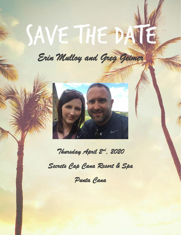# **SAVE THE DAY**

*Erin Mulloy and Greg Geimer* 



*Thursday April 2nd, 2020* 

*Secrets Cap Cana Resort & Spa* 

*Punta Cana*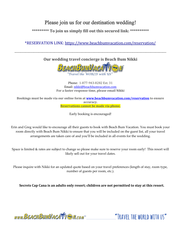## Please join us for our destination wedding!

#### **\*\*\*\*\*\*\*\*\* To join us simply fill out this secured link: \*\*\*\*\*\*\*\*\*\***

\*RESERVATION LINK:<https://www.beachbumvacation.com/reservation/>

\_\_\_\_\_\_\_\_\_\_\_\_\_\_\_\_\_\_\_\_\_\_\_\_\_\_\_\_\_\_\_\_\_\_\_\_\_\_\_\_\_\_\_\_\_\_\_\_\_\_\_\_\_\_\_\_\_\_\_\_\_\_\_\_\_\_\_\_\_\_\_\_\_\_\_\_\_\_\_\_\_\_\_\_\_\_\_\_\_\_\_\_\_\_\_\_\_\_\_\_\_\_\_\_\_\_\_\_\_\_\_\_\_\_\_\_\_\_\_\_\_\_\_\_\_\_

**Our wedding travel concierge is Beach Bum Nikki**



Phone: 1-877-943-8282 Ext. 31 Email: [nikki@beachbumvacation.com](mailto:nikki@beachbumvacation.com) **For a faster response time, please email Nikki**

**Bookings must be made via our online form a[t www.beachbumvacation.com/reservation](http://www.beachbumvacation.com/reservation) to ensure accuracy. Reservations cannot be made via phone.**

Early booking is encouraged!

Erin and Greg would like to encourage all their guests to book with Beach Bum Vacation. You must book your room directly with Beach Bum Nikki to ensure that you will be included on the guest list, all your travel arrangements are taken care of and you'll be included in all events for the wedding.

Space is limited & rates are subject to change so please make sure to reserve your room early! This resort will likely sell out for your travel dates.

Please inquire with Nikki for an updated quote based on your travel preferences (length of stay, room type, number of guests per room, etc.).

**Secrets Cap Cana is an adults only resort; children are not permitted to stay at this resort.**

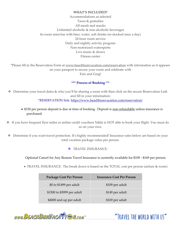#### **WHAT'S INCLUDED?**

Accommodations as selected Taxes & gratuities All meals and snacks Unlimited alcoholic & non-alcoholic beverages In-room mini-bar with beer, water, soft drinks (re-stocked once a day) 24 hour room service Daily and nightly activity program Non-motorized watersports Live music & shows Fitness center

\*Please fill in the Reservation Form at [www.beachbumvacation.com/reservation](http://www.beachbumvacation.com/reservation) with information as it appears on your passport to secure your room and celebrate with Erin and Greg!

#### **\*\*\* Process of Booking** \*\*\*

❖ Determine your travel dates & who you'll be sharing a room with then click on the secure Reservation Link and fill in your information: \*RESERVATION link:<https://www.beachbumvacation.com/reservation/>

- \$150 per person deposit is due at time of booking. Deposit is non-refundable unless insurance is purchased.
- ❖ If you have frequent flyer miles or airline credit vouchers Nikki is NOT able to book your flight. You must do so on your own.
- ❖ Determine if you want travel protection. It's highly recommended! Insurance rates below are based on your total vacation package value per person.
	- ❖ TRAVEL INSURANCE:

Optional Cancel for Any Reason Travel Insurance is currently available for \$109 - \$169 per person.

• TRAVEL INSURANCE: The break down is based on the TOTAL cost per person (airfare & room)

| <b>Package Cost Per Person</b> | <b>Insurance Cost Per Person</b> |
|--------------------------------|----------------------------------|
| \$0 to \$1499 per adult        | \$109 per adult                  |
| \$1500 to \$3999 per adult     | \$149 per adult                  |
| \$4000 and up per adult        | \$169 per adult                  |



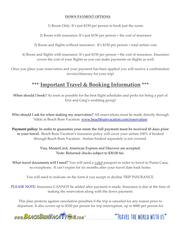#### **DOWN PAYMENT OPTIONS**

1) Room Only: It's just \$150 per person to book just the room.

2) Room with insurance: It's just \$150 per person + the cost of insurance

3) Room and flights without insurance: It's \$150 per person + total airfare cost.

4) Room and flights with insurance: It's just \$150 per person + the cost of insurance. Insurance covers the cost of your flights so you can make payments on flights as well.

Once you place your reservation and your payment has been applied you will receive a confirmation invoice/itinerary for your trip!

# **\*\*\* Important Travel & Booking Information \*\*\***

When should I book? As soon as possible for the best flight schedules and perks for being a part of Erin and Greg's wedding group!

Who should I ask for when making my reservation? All reservations must be made directly through Nikki at Beach Bum Vacation. [www.beachbumvacation.com/reservation](http://www.beachbumvacation.com/reservation)

**Payment policy: In order to guarantee your room the full payment must be received 45 days prior to your travel.** Beach Bum Vacation's insurance policy will cover your airfare 100% if booked through Beach Bum Vacation. Airfare booked separately is not covered.

> Visa, MasterCard, American Express and Discover are accepted. Note: Returned checks subject to \$30.00 fee.

What travel documents will I need? You will need a valid passport in order to travel to Punta Cana, no exceptions. It can't expire for six months after your travel date back home.

You will need to indicate on the form if you accept or decline TRIP INSURANCE.

PLEASE NOTE: Insurance CANNOT be added after payment is made. Insurance is due at the time of making the reservation along with the down payment.

This plan protects against cancelation penalties if the trip is canceled for any reason prior to departure. It also covers up to \$100 per person for trip interruption, up to \$800 per person for

www.BEACHBUMVACATTEN.com

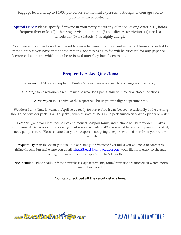baggage loss, and up to \$5,000 per person for medical expenses. I strongly encourage you to purchase travel protection.

Special Needs: Please specify if anyone in your party meets any of the following criteria: (1) holds frequent flyer miles (2) is hearing or vision impaired (3) has dietary restrictions (4) needs a wheelchair (5) is diabetic (6) is highly allergic.

Your travel documents will be mailed to you after your final payment is made. Please advise Nikki immediately if you have an updated mailing address as a \$25 fee will be assessed for any paper or electronic documents which must be re-issued after they have been mailed.

#### **Frequently Asked Questions:**

-Currency: USDs are accepted in Punta Cana so there is no need to exchange your currency.

-Clothing: some restaurants require men to wear long pants, shirt with collar & closed toe shoes.

-Airport: you must arrive at the airport two hours prior to flight departure time.

-Weather: Punta Cana is warm in April so be ready for sun & fun. It can feel cool occasionally in the evening though, so consider packing a light jacket, wrap or sweater. Be sure to pack sunscreen & drink plenty of water!

-Passport: go to your local post office and request passport forms, instructions will be provided. It takes approximately 4-6 weeks for processing. Cost is approximately \$135. You must have a valid passport booklet, not a passport card. Please ensure that your passport is not going to expire within 6 months of your return travel date.

-Frequent Flyer: in the event you would like to use your frequent flyer miles you will need to contact the airline directly but make sure you email **[nikki@beachbumvacation.com](mailto:nikki@beachbumvacation.com)** your flight itinerary so she may arrange for your airport transportation to & from the resort.

-Not Included: Phone calls, gift shop purchases, spa treatments, tours/excursions & motorized water sports are not included.

#### **You can check out all the resort details here:**

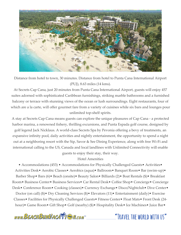

Distance from hotel to town, 30 minutes. Distance from hotel to Punta Cana International Airport (PUJ), 8.63 miles (14 kms).

At Secrets Cap Cana, just 20 minutes from Punta Cana International Airport, guests will enjoy 457 suites adorned with sophisticated Caribbean furnishings, striking marble bathrooms and a furnished balcony or terrace with stunning views of the ocean or lush surroundings. Eight restaurants, four of which are a la carte, will offer gourmet fare from a variety of cuisines while six bars and lounges pour unlimited top-shelf spirits.

A stay at Secrets Cap Cana means guests can explore the unique pleasures of Cap Cana - a protected harbor marina, a renowned fishery, thrilling excursions, and Punta Espada golf course, designed by

golf legend Jack Nicklaus. A world-class Secrets Spa by Pevonia offering a bevy of treatments, an expansive infinity pool, daily activities and nightly entertainment, the opportunity to spend a night out at a neighboring resort with the Sip, Savor & See Dining Experience, along with free Wi-Fi and international calling to the US, Canada and local landlines with Unlimited Connectivity will enable

guests to enjoy their stay, their way.

Hotel Amenities

• Accommodations (453) • Accommodations for Physically Challenged Guests • Activities • Activities Desk• Aerobic Classes• Aerobics (aqua)• Ballroom• Banquet Room• Bar (swim-up)• Barber Shop• Bars (6)• Beach (onsite)• Beauty Salon• Billiards (2)• Boat Rentals (\$)• Breakfast Room• Business Center• Business Services• Car Rental Desk• Coffee Shop• Concierge• Concierge Desk• Conference Room• Cooking (classes)• Currency Exchange• Disco/Nightclub• Dive Center• Doctor (on call) (\$)• Dry Cleaning Services (\$)• Elevators (11)• Entertainment (daily)• Exercise Classes• Facilities for Physically Challenged Guests• Fitness Center• Float Mats• Front Desk (24 hour)• Game Room• Gift Shop• Golf (nearby) (\$)• Hospitality Desk• Ice Machines• Juice Bar•

www.BEACHBUMVACATTE M.com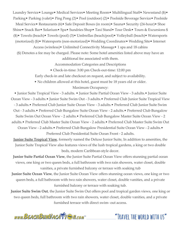Laundry Service• Lounge• Medical Services• Meeting Room• Multilingual Staff• Newsstand (\$)• Parking• Parking (valet)• Ping Pong (2)• Pool (outdoor) (2)• Poolside Beverage Service• Poolside Meal Service• Restaurants (6)• Safe Deposit Boxes (in room)• Sauna• Security (24-hour)• Shoe Shine• Snack Bar• Solarium• Spa• Sundries Shop• Taxi Stand• Tour Desk• Tours & Excursions \$ (\$)• Towels (beach)• Towels (pool) (3)• Umbrellas (beach/pool)• Volleyball (beach)• Watersports (motorized) (\$)• Watersports (non-motorized)• Wedding Coordinator• Wedding Site• Internet Access (wireless)• Unlimited Connectivity Massage• 1 spa and 18 cabins

(\$) Denotes a fee may be charged. Please note: Some hotel amenities listed above may have an

additional fee associated with them.

Accommodation Categories and Descriptions

• Check-in-time: 3:00 pm Check-out-time: 12:00 pm

Early check-in and late checkout on request, and subject to availability.

• No children allowed at this hotel, guest must be 18 years old or older.

Maximum Occupancy:

• Junior Suite Tropical View - 3 adults. • Junior Suite Partial Ocean View - 3 adults.• Junior Suite Ocean View - 3 adults.• Junior Suite Swim Out - 3 adults.• Preferred Club Junior Suite Tropical View - 3 adults.• Preferred Club Junior Suite Ocean View - 3 adults.• Preferred Club Junior Suite Swim Out - 3 adults.• Preferred Club Bungalow Suite Ocean View - 2 adults.• Preferred Club Bungalow Suite Swim Out Ocean View - 2 adults.• Preferred Club Bungalow Master Suite Ocean View - 2 adults.• Preferred Club Master Suite Ocean View - 2 adults.• Preferred Club Master Suite Swim Out Ocean View - 2 adults.• Preferred Club Bungalow Presidential Suite Ocean View - 2 adults.• Preferred Club Presidential Suite Ocean Front - 2 adults.

**Junior Suite Tropical View**, formerly named the Deluxe Junior Suite, In addition to amenities, the Junior Suite Tropical View also features views of the lush tropical gardens, a king or two double beds, modern Caribbean-style decor.

**Junior Suite Partial Ocean View**, the Junior Suite Partial Ocean View offers stunning partial ocean views, one king or two queen beds, a full bathroom with two rain showers, water closet, double vanities, a private furnished balcony or terrace with soaking tub

**Junior Suite Ocean View**, the Junior Suite Ocean View offers stunning ocean views, one king or two queen beds, a full bathroom with two rain showers, water closet, double vanities, and a private furnished balcony or terrace with soaking tub.

**Junior Suite Swim Out**, the Junior Suite Swim Out offers pool and tropical garden views, one king or two queen beds, full bathroom with two rain showers, water closet, double vanities, and a private furnished terrace with direct swim- out access.

www.BEACHBUMVACATTEN.com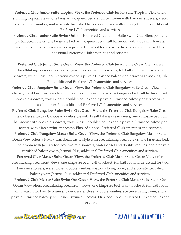**Preferred Club Junior Suite Tropical View**, the Preferred Club Junior Suite Tropical View offers stunning tropical views, one king or two queen beds, a full bathroom with two rain showers, water closet, double vanities, and a private furnished balcony or terrace with soaking tub. Plus additional Preferred Club amenities and services.

**Preferred Club Junior Suite Swim Out**, the Preferred Club Junior Suite Swim-Out offers pool and partial ocean views, one king-size bed or two queen beds, full bathroom with two rain showers, water closet, double vanities, and a private furnished terrace with direct swim-out access. Plus, additional Preferred Club amenities and services.

**Preferred Club Junior Suite Ocean View**, the Preferred Club Junior Suite Ocean View offers breathtaking ocean views, one king-size bed or two queen beds, full bathroom with two rain showers, water closet, double vanities and a private furnished balcony or terrace with soaking tub. Plus, additional Preferred Club amenities and services.

**Preferred Club Bungalow Suite Ocean View**, the Preferred Club Bungalow Suite Ocean View offers a luxury Caribbean casita style with breathtaking ocean views, one king-size bed, full bathroom with two rain showers, water closet, double vanities and a private furnished balcony or terrace with soaking tub. Plus, additional Preferred Club amenities and services.

**Preferred Club Bungalow Suite Swim Out Ocean View,** the Preferred Club Bungalow Suite Ocean View offers a luxury Caribbean casita style with breathtaking ocean views, one king-size bed, full bathroom with two rain showers, water closet, double vanities and a private furnished balcony or terrace with direct swim-out access. Plus, additional Preferred Club amenities and services.

**Preferred Club Bungalow Master Suite Ocean View**, the Preferred Club Bungalow Master Suite Ocean View offers a luxury Caribbean casita style with breathtaking ocean views, one king-size bed, full bathroom with Jacuzzi for two, two rain showers, water closet and double vanities, and a private furnished balcony with Jacuzzi. Plus, additional Preferred Club amenities and services.

**Preferred Club Master Suite Ocean View**, the Preferred Club Master Suite Ocean View offers breathtaking oceanfront views, one king-size bed, walk-in closet, full bathroom with Jacuzzi for two, two rain showers, water closet, double vanities, spacious living room, and a private furnished balcony with Jacuzzi. Plus, additional Preferred Club amenities and services.

**Preferred Club Master Suite Swim Out Ocean View**, the Preferred Club Master Suite Swim Out Ocean View offers breathtaking oceanfront views, one king-size bed, walk- in closet, full bathroom with Jacuzzi for two, two rain showers, water closet, double vanities, spacious living room, and a private furnished balcony with direct swim-out access. Plus, additional Preferred Club amenities and services.

www.BEACHBUMVACATTEN.com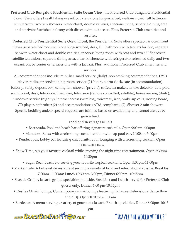**Preferred Club Bungalow Presidential Suite Ocean View**, the Preferred Club Bungalow Presidential Ocean View offers breathtaking oceanfront views, one king-size bed, walk-in closet, full bathroom with Jacuzzi, two rain showers, water closet, double vanities, spacious living, separate dining area and a private furnished balcony with direct swim-out access. Plus, Preferred Club amenities and services.

**Preferred Club Presidential Suite Ocean Front**, the Presidential Suite offers spectacular oceanfront views, separate bedroom with one king-size bed, desk, full bathroom with Jacuzzi for two, separate shower, water closet and double vanities, spacious living room with sofa and two 48" flat screen satellite televisions, separate dining area, a bar, kitchenette with refrigerator refreshed daily and two oceanfront balconies or terraces one with a Jacuzzi. Plus, additional Preferred Club amenities and services.

All accommodations include: mini-bar, maid service (daily), non-smoking accommodations, DVD player, radio, air conditioning, room service (24-hour), alarm clock, safe (in accommodation), balcony, safety deposit box, ceiling fan, shower (private), coffee/tea maker, smoke detector, data port, soundproof, desk, telephone, hairdryer, television (remote controlled, satellite), housekeeping (daily), turndown service (nightly), internet access (wireless), voicemail, iron, wake-up calls, ironing board,

CD player, bathrobes: (2) and accommodations (ADA compliant): (9). Shower 2 rain showers Specific bedding and/or special requests are fulfilled based on availability and cannot always be

#### guaranteed.

#### **Food and Beverage Outlets**

- Barracuda, Pool and beach bar offering signature cocktails. Open 9:00am-6:00pm
- Manatees, Relax with a refreshing cocktail at this swim-up pool bar. 10:00am-5:00pm
- Rendezvous, Lobby bar featuring chic furniture for lounging with a refreshing cocktail. Open 10:00am-01:00am
- Show Time, sip your favorite cocktail while enjoying the night time entertainment. Open 6:30pm-10:30pm
	- Sugar Reef, Beach bar serving your favorite tropical cocktails. Open 5:00pm-11:00pm
- Market Cafe, A buffet-style restaurant serving a variety of local and international cuisine. Breakfast 7:00am-11:00am; Lunch 12:30 pm-3:30pm; Dinner 6:00pm -10:45pm
- Seaside Grill, A la carte grilled specialties poolside. Breakfast and Lunch served for Preferred Club guests only. Dinner 6:00 pm-10:45pm
- Desires Music Lounge, Contemporary music lounge featuring flat screen televisions, dance floor and a DJ. Open 10:00pm- 1:00am
- Bordeaux, A menu serving a variety of gourmet a la carte French specialties. Dinner 6:00pm-10:45

pm

www.BEACHBUMVACATTE M.com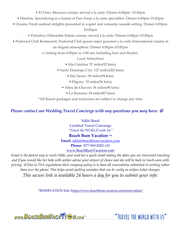• El Patio, Mexican cuisine, served a la carte. Dinner 6:00pm- 10:45pm

- Himitsu, Specializing in a fusion of Pan-Asian a la carte specialties. Dinner 6:00pm-10:45pm
- Oceana, Fresh seafood delights presented in a quiet and romantic seaside setting. Dinner 6:00pm-

#### 10:45pm

- Portofino, Delectable Italian cuisine, served a la carte. Dinner 6:00pm-10:45pm
- Preferred Club Restaurant, Preferred Club guests enjoy gourmet a la carte International cuisine in

an elegant atmosphere. Dinner 6:00pm-10:45pm

e visiting from 6:00pm to 1:00 am, including bars and theater.

Local Attractions

- Isla Catalina: 57 miles(92 kms)
- Santo Domingo City: 127 miles(205 kms)
	- Isla Saona: 58 miles(94 kms)
		- Higuey: 35 miles(56 kms)
	- Altos de Chavon: 56 miles(90 kms)
		- La Romana: 54 miles(87 kms)

\*All Resort packages and inclusions are subject to change any time

# *Please contact our Wedding Travel Concierge with any questions you may have.*  $\circledcirc$

Nikki Bond Certified Travel Concierge *"Travel the WORLD with Us"*

### **Beach Bum Vacation TM**

**Email:** [nikki@beachbumvacation.com](mailto:nikki@beachbumvacation.com)

**Phone:** 877-943-8282 x31

#### [www.BeachBumVacation.com](http://www.beachbumvacation.com/)

*Email is the fastest way to reach Nikki, just send her a quick email stating the dates you are interested traveling and if you would like her help with airfare advise your airport of choice and she will be back in touch soon with pricing.* ☺ *Due to TSA regulations their company policy is to have all reservations submitted in writing rather than over the phone. This helps avoid spelling mistakes that can be costly on airfare ticket changes.*

*This secure link is available 24 hours a day for you to submit your info:*

\*RESERVATION link:<https://www.beachbumvacation.com/reservation/>

www.BEACHBUMVACATTEN.com